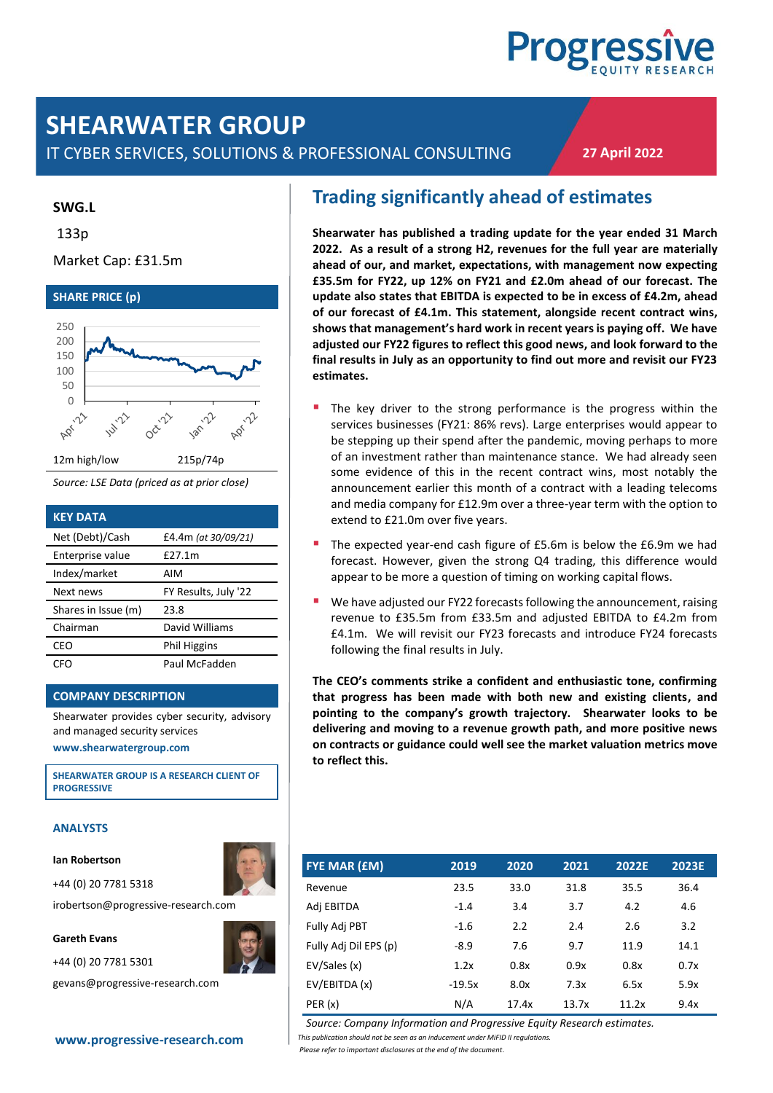# **Progress**

## **SHEARWATER GROUP**

IT CYBER SERVICES, SOLUTIONS & PROFESSIONAL CONSULTING

**27 April 2022**

#### **SWG.L**

133p

#### Market Cap: £31.5m



*Source: LSE Data (priced as at prior close)*

| <b>KEY DATA</b>     |                      |
|---------------------|----------------------|
| Net (Debt)/Cash     | £4.4m (at 30/09/21)  |
| Enterprise value    | £27.1m               |
| Index/market        | AIM                  |
| Next news           | FY Results, July '22 |
| Shares in Issue (m) | 23.8                 |
| Chairman            | David Williams       |
| CEO                 | Phil Higgins         |
| CFO                 | Paul McFadden        |

#### **COMPANY DESCRIPTION**

Shearwater provides cyber security, advisory and managed security services **[www.shearwatergroup.com](http://www.shearwatergroup.com/)**

**SHEARWATER GROUP IS A RESEARCH CLIENT OF PROGRESSIVE**

#### **ANALYSTS**

#### **Ian Robertson**

+44 (0) 20 7781 5318

irobertson@progressive-research.com

#### **Gareth Evans**



gevans@progressive-research.com

## **Trading significantly ahead of estimates**

**Shearwater has published a trading update for the year ended 31 March 2022. As a result of a strong H2, revenues for the full year are materially ahead of our, and market, expectations, with management now expecting £35.5m for FY22, up 12% on FY21 and £2.0m ahead of our forecast. The update also states that EBITDA is expected to be in excess of £4.2m, ahead of our forecast of £4.1m. This statement, alongside recent contract wins, shows that management's hard work in recent years is paying off. We have adjusted our FY22 figures to reflect this good news, and look forward to the final results in July as an opportunity to find out more and revisit our FY23 estimates.**

- The key driver to the strong performance is the progress within the services businesses (FY21: 86% revs). Large enterprises would appear to be stepping up their spend after the pandemic, moving perhaps to more of an investment rather than maintenance stance. We had already seen some evidence of this in the recent contract wins, most notably the announcement earlier this month of a contract with a leading telecoms and media company for £12.9m over a three-year term with the option to extend to £21.0m over five years.
- The expected year-end cash figure of £5.6m is below the £6.9m we had forecast. However, given the strong Q4 trading, this difference would appear to be more a question of timing on working capital flows.
- We have adjusted our FY22 forecasts following the announcement, raising revenue to £35.5m from £33.5m and adjusted EBITDA to £4.2m from £4.1m. We will revisit our FY23 forecasts and introduce FY24 forecasts following the final results in July.

**The CEO's comments strike a confident and enthusiastic tone, confirming that progress has been made with both new and existing clients, and pointing to the company's growth trajectory. Shearwater looks to be delivering and moving to a revenue growth path, and more positive news on contracts or guidance could well see the market valuation metrics move to reflect this.**

| <b>FYE MAR (EM)</b>   | 2019     | 2020  | 2021  | 2022E | 2023E |
|-----------------------|----------|-------|-------|-------|-------|
| Revenue               | 23.5     | 33.0  | 31.8  | 35.5  | 36.4  |
| Adj EBITDA            | $-1.4$   | 3.4   | 3.7   | 4.2   | 4.6   |
| Fully Adj PBT         | $-1.6$   | 2.2   | 2.4   | 2.6   | 3.2   |
| Fully Adj Dil EPS (p) | $-8.9$   | 7.6   | 9.7   | 11.9  | 14.1  |
| EV/Sales (x)          | 1.2x     | 0.8x  | 0.9x  | 0.8x  | 0.7x  |
| EV/EBITDA (x)         | $-19.5x$ | 8.0x  | 7.3x  | 6.5x  | 5.9x  |
| PER(x)                | N/A      | 17.4x | 13.7x | 11.2x | 9.4x  |

*Source: Company Information and Progressive Equity Research estimates.*

*Please refer to important disclosures at the end of the document*.

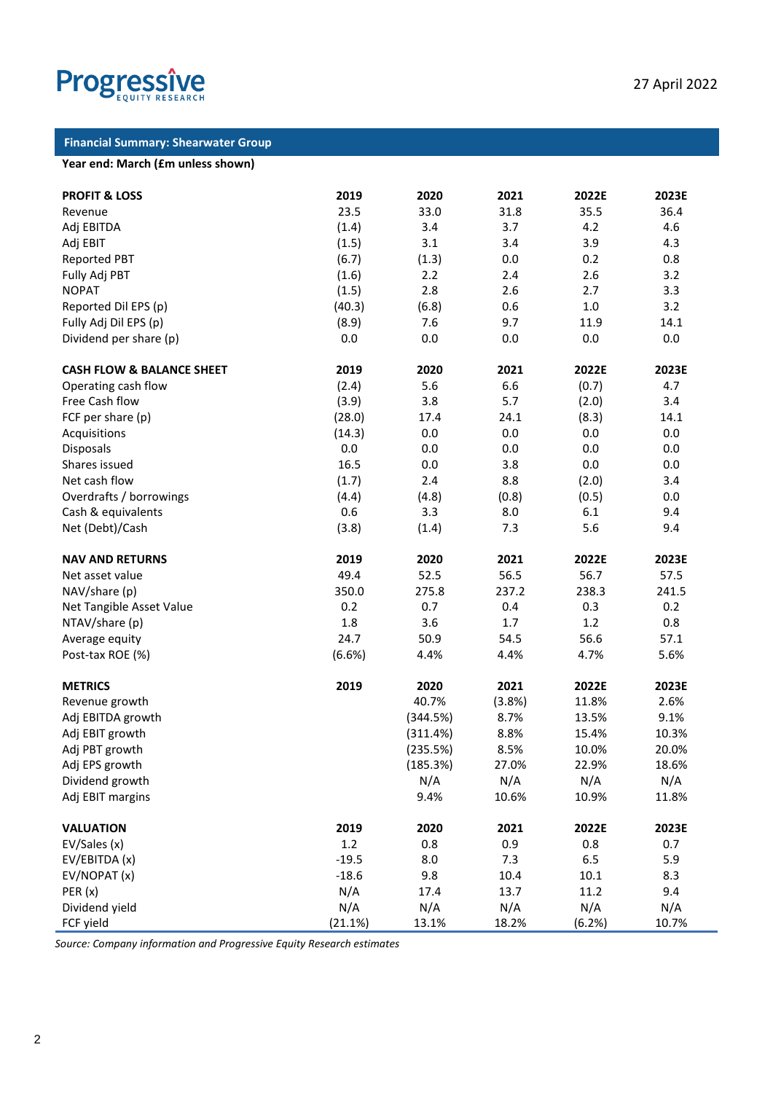

#### **Financial Summary: Shearwater Group**

#### **Year end: March (£m unless shown)**

| <b>PROFIT &amp; LOSS</b>             | 2019       | 2020        | 2021        | 2022E       | 2023E        |
|--------------------------------------|------------|-------------|-------------|-------------|--------------|
| Revenue                              | 23.5       | 33.0        | 31.8        | 35.5        | 36.4         |
| Adj EBITDA                           | (1.4)      | 3.4         | 3.7         | 4.2         | 4.6          |
| Adj EBIT                             | (1.5)      | 3.1         | 3.4         | 3.9         | 4.3          |
| <b>Reported PBT</b>                  | (6.7)      | (1.3)       | 0.0         | 0.2         | 0.8          |
| Fully Adj PBT                        | (1.6)      | 2.2         | 2.4         | 2.6         | 3.2          |
| <b>NOPAT</b>                         | (1.5)      | 2.8         | 2.6         | 2.7         | 3.3          |
| Reported Dil EPS (p)                 | (40.3)     | (6.8)       | 0.6         | 1.0         | 3.2          |
| Fully Adj Dil EPS (p)                | (8.9)      | 7.6         | 9.7         | 11.9        | 14.1         |
| Dividend per share (p)               | 0.0        | 0.0         | 0.0         | 0.0         | 0.0          |
|                                      |            |             |             |             |              |
| <b>CASH FLOW &amp; BALANCE SHEET</b> | 2019       | 2020        | 2021        | 2022E       | 2023E        |
| Operating cash flow                  | (2.4)      | 5.6         | 6.6         | (0.7)       | 4.7          |
| Free Cash flow                       | (3.9)      | 3.8         | 5.7         | (2.0)       | 3.4          |
| FCF per share (p)                    | (28.0)     | 17.4        | 24.1        | (8.3)       | 14.1         |
| Acquisitions                         | (14.3)     | 0.0         | 0.0         | 0.0         | 0.0          |
| Disposals                            | 0.0        | 0.0         | 0.0         | 0.0         | 0.0          |
| Shares issued                        | 16.5       | 0.0         | 3.8         | 0.0         | 0.0          |
| Net cash flow                        | (1.7)      | 2.4         | 8.8         | (2.0)       | 3.4          |
| Overdrafts / borrowings              | (4.4)      | (4.8)       | (0.8)       | (0.5)       | 0.0          |
| Cash & equivalents                   | 0.6        | 3.3         | 8.0         | 6.1         | 9.4          |
| Net (Debt)/Cash                      | (3.8)      | (1.4)       | 7.3         | 5.6         | 9.4          |
| <b>NAV AND RETURNS</b>               | 2019       | 2020        | 2021        | 2022E       | 2023E        |
| Net asset value                      | 49.4       | 52.5        | 56.5        | 56.7        | 57.5         |
| NAV/share (p)                        | 350.0      | 275.8       | 237.2       | 238.3       | 241.5        |
| Net Tangible Asset Value             | 0.2        | 0.7         | 0.4         | 0.3         | 0.2          |
| NTAV/share (p)                       | 1.8        | 3.6         | 1.7         | 1.2         | 0.8          |
| Average equity                       | 24.7       | 50.9        | 54.5        | 56.6        | 57.1         |
| Post-tax ROE (%)                     | (6.6%)     | 4.4%        | 4.4%        | 4.7%        | 5.6%         |
| <b>METRICS</b>                       | 2019       | 2020        | 2021        | 2022E       | 2023E        |
| Revenue growth                       |            | 40.7%       | (3.8%)      | 11.8%       | 2.6%         |
| Adj EBITDA growth                    |            | (344.5%)    | 8.7%        | 13.5%       | 9.1%         |
| Adj EBIT growth                      |            | (311.4%)    | 8.8%        | 15.4%       | 10.3%        |
| Adj PBT growth                       |            | (235.5%)    | 8.5%        | 10.0%       | 20.0%        |
| Adj EPS growth                       |            | (185.3%)    | 27.0%       | 22.9%       | 18.6%        |
| Dividend growth                      |            | N/A         | N/A         | N/A         | N/A          |
| Adj EBIT margins                     |            | 9.4%        | 10.6%       | 10.9%       | 11.8%        |
|                                      | 2019       | 2020        | 2021        | 2022E       | 2023E        |
| <b>VALUATION</b>                     | 1.2        | 0.8         | 0.9         | 0.8         | 0.7          |
| EV/Sales (x)                         | $-19.5$    |             |             |             |              |
| EV/EBITDA (x)                        | $-18.6$    | 8.0         | 7.3         | 6.5         | 5.9          |
| EV/NOPAT (x)                         |            | 9.8         | 10.4        | 10.1        | 8.3          |
| PER(x)                               | N/A<br>N/A | 17.4<br>N/A | 13.7<br>N/A | 11.2<br>N/A | 9.4          |
| Dividend yield                       |            | 13.1%       | 18.2%       |             | N/A<br>10.7% |
| FCF yield                            | (21.1%)    |             |             | (6.2%)      |              |

*Source: Company information and Progressive Equity Research estimates*